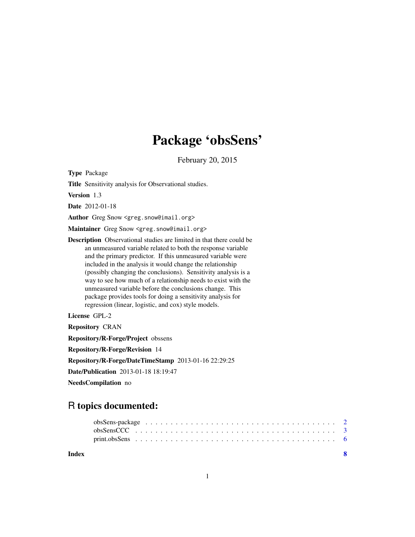## Package 'obsSens'

February 20, 2015

Type Package

Title Sensitivity analysis for Observational studies.

Version 1.3

Date 2012-01-18

Author Greg Snow <greg.snow@imail.org>

Maintainer Greg Snow <greg.snow@imail.org>

Description Observational studies are limited in that there could be an unmeasured variable related to both the response variable and the primary predictor. If this unmeasured variable were included in the analysis it would change the relationship (possibly changing the conclusions). Sensitivity analysis is a way to see how much of a relationship needs to exist with the unmeasured variable before the conclusions change. This package provides tools for doing a sensitivity analysis for regression (linear, logistic, and cox) style models.

License GPL-2

Repository CRAN Repository/R-Forge/Project obssens Repository/R-Forge/Revision 14 Repository/R-Forge/DateTimeStamp 2013-01-16 22:29:25 Date/Publication 2013-01-18 18:19:47 NeedsCompilation no

### R topics documented:

**Index** [8](#page-7-0) **8**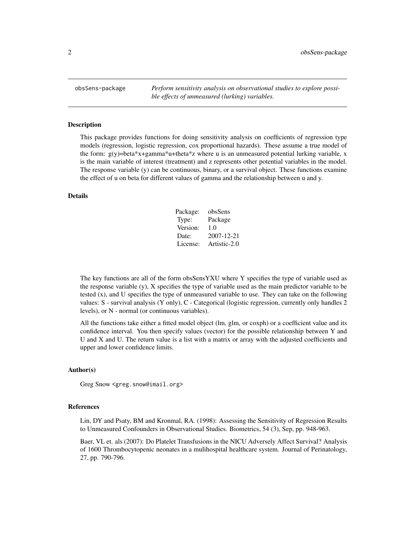<span id="page-1-0"></span>obsSens-package *Perform sensitivity analysis on observational studies to explore possible effects of unmeasured (lurking) variables.*

#### **Description**

This package provides functions for doing sensitivity analysis on coefficients of regression type models (regression, logistic regression, cox proportional hazards). These assume a true model of the form:  $g(y)$ =beta\*x+gamma\*u+theta\*z where u is an unmeasured potential lurking variable, x is the main variable of interest (treatment) and z represents other potential variables in the model. The response variable (y) can be continuous, binary, or a survival object. These functions examine the effect of u on beta for different values of gamma and the relationship between u and y.

#### Details

| Package: | obsSens      |
|----------|--------------|
| Type:    | Package      |
| Version: | 1.0          |
| Date:    | 2007-12-21   |
| License: | Artistic-2.0 |

The key functions are all of the form obsSensYXU where Y specifies the type of variable used as the response variable (y), X specifies the type of variable used as the main predictor variable to be tested (x), and U specifies the type of unmeasured variable to use. They can take on the following values: S - survival analysis (Y only), C - Categorical (logistic regression, currently only handles 2 levels), or N - normal (or continuous variables).

All the functions take either a fitted model object (lm, glm, or coxph) or a coefficient value and its confidence interval. You then specify values (vector) for the possible relationship between Y and U and X and U. The return value is a list with a matrix or array with the adjusted coefficients and upper and lower confidence limits.

#### Author(s)

Greg Snow <greg.snow@imail.org>

#### References

Lin, DY and Psaty, BM and Kronmal, RA. (1998): Assessing the Sensitivity of Regression Results to Unmeasured Confounders in Observational Studies. Biometrics, 54 (3), Sep, pp. 948-963.

Baer, VL et. als (2007): Do Platelet Transfusions in the NICU Adversely Affect Survival? Analysis of 1600 Thrombocytopenic neonates in a mulihospital healthcare system. Journal of Perinatology, 27, pp. 790-796.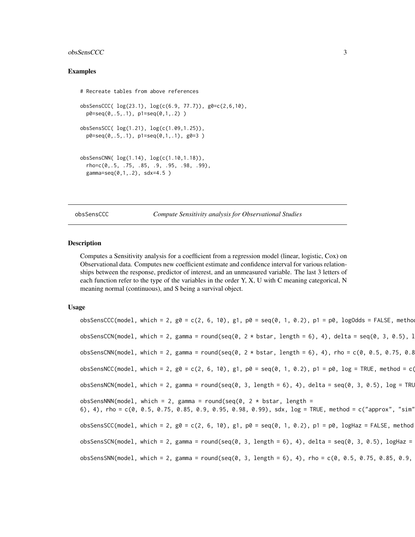#### <span id="page-2-0"></span>obsSensCCC 3

#### Examples

```
# Recreate tables from above references
obsSensCCC( log(23.1), log(c(6.9, 77.7)), g0=c(2,6,10),
 p0 = seq(0, .5, .1), p1 = seq(0, 1, .2)obsSensSCC( log(1.21), log(c(1.09,1.25)),
 p0 = seq(0, .5, .1), p1 = seq(0, 1, .1), g0 = 3)obsSensCNN( log(1.14), log(c(1.10,1.18)),
 rho=c(0,.5, .75, .85, .9, .95, .98, .99),
 gamma=seq(0,1, .2), sdx=4.5)
```
obsSensCCC *Compute Sensitivity analysis for Observational Studies*

#### Description

Computes a Sensitivity analysis for a coefficient from a regression model (linear, logistic, Cox) on Observational data. Computes new coefficient estimate and confidence interval for various relationships between the response, predictor of interest, and an unmeasured variable. The last 3 letters of each function refer to the type of the variables in the order Y, X, U with C meaning categorical, N meaning normal (continuous), and S being a survival object.

#### Usage

obsSensCCC(model, which = 2, g0 = c(2, 6, 10), g1, p0 = seq(0, 1, 0.2), p1 = p0, logOdds = FALSE, metho obsSensCCN(model, which = 2, gamma = round(seq(0, 2  $*$  bstar, length = 6), 4), delta = seq(0, 3, 0.5), l obsSensCNN(model, which = 2, gamma = round(seq(0, 2  $*$  bstar, length = 6), 4), rho = c(0, 0.5, 0.75, 0.8 obsSensNCC(model, which = 2,  $g0 = c(2, 6, 10)$ ,  $g1$ ,  $p0 = seq(0, 1, 0.2)$ ,  $p1 = p0$ ,  $log = TRUE$ , method = c(  $obsSensNCN(mod 1, which = 2, gamma = round(seq(0, 3, length = 6), 4), delta = seq(0, 3, 0.5), log = TRU$ obsSensNNN(model, which = 2, gamma = round(seq(0, 2  $*$  bstar, length = 6), 4), rho = c(0, 0.5, 0.75, 0.85, 0.9, 0.95, 0.98, 0.99), sdx, log = TRUE, method = c("approx", "sim"))  $obsSensSCC(model, which = 2, g0 = c(2, 6, 10), g1, p0 = seq(0, 1, 0.2), p1 = p0, logHaz = FALSE, method$ obsSensSCN(model, which = 2, gamma = round(seq(0, 3, length = 6), 4), delta = seq(0, 3, 0.5), logHaz =  $obsSensSNN(mod 1, which = 2, gamma = round(seq(0, 3, length = 6), 4), rho = c(0, 0.5, 0.75, 0.85, 0.9,$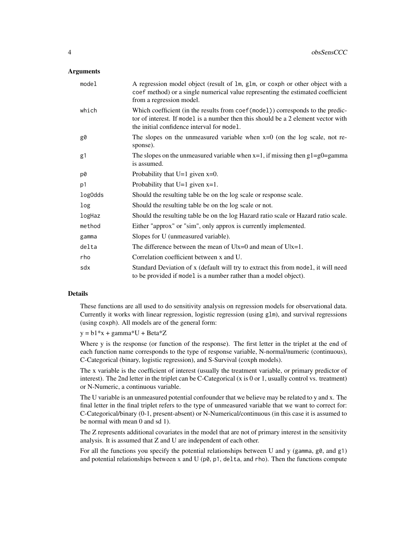#### **Arguments**

| model   | A regression model object (result of 1m, g1m, or coxph or other object with a<br>coef method) or a single numerical value representing the estimated coefficient<br>from a regression model.                       |
|---------|--------------------------------------------------------------------------------------------------------------------------------------------------------------------------------------------------------------------|
| which   | Which coefficient (in the results from coef (model)) corresponds to the predic-<br>tor of interest. If model is a number then this should be a 2 element vector with<br>the initial confidence interval for model. |
| g0      | The slopes on the unmeasured variable when $x=0$ (on the log scale, not re-<br>sponse).                                                                                                                            |
| g1      | The slopes on the unmeasured variable when $x=1$ , if missing then $g1=g0=g$ amma<br>is assumed.                                                                                                                   |
| p0      | Probability that $U=1$ given $x=0$ .                                                                                                                                                                               |
| p1      | Probability that $U=1$ given $x=1$ .                                                                                                                                                                               |
| log0dds | Should the resulting table be on the log scale or response scale.                                                                                                                                                  |
| log     | Should the resulting table be on the log scale or not.                                                                                                                                                             |
| logHaz  | Should the resulting table be on the log Hazard ratio scale or Hazard ratio scale.                                                                                                                                 |
| method  | Either "approx" or "sim", only approx is currently implemented.                                                                                                                                                    |
| gamma   | Slopes for U (unmeasured variable).                                                                                                                                                                                |
| delta   | The difference between the mean of $U x=0$ and mean of $U x=1$ .                                                                                                                                                   |
| rho     | Correlation coefficient between x and U.                                                                                                                                                                           |
| sdx     | Standard Deviation of x (default will try to extract this from model, it will need<br>to be provided if model is a number rather than a model object).                                                             |

#### Details

These functions are all used to do sensitivity analysis on regression models for observational data. Currently it works with linear regression, logistic regression (using glm), and survival regressions (using coxph). All models are of the general form:

 $y = b1*x + gamma*U + Beta*Z$ 

Where y is the response (or function of the response). The first letter in the triplet at the end of each function name corresponds to the type of response variable, N-normal/numeric (continuous), C-Categorical (binary, logistic regression), and S-Survival (coxph models).

The x variable is the coefficient of interest (usually the treatment variable, or primary predictor of interest). The 2nd letter in the triplet can be C-Categorical (x is 0 or 1, usually control vs. treatment) or N-Numeric, a continuous variable.

The U variable is an unmeasured potential confounder that we believe may be related to y and x. The final letter in the final triplet refers to the type of unmeasured variable that we want to correct for: C-Categorical/binary (0-1, present-absent) or N-Numerical/continuous (in this case it is assumed to be normal with mean 0 and sd 1).

The Z represents additional covariates in the model that are not of primary interest in the sensitivity analysis. It is assumed that Z and U are independent of each other.

For all the functions you specify the potential relationships between U and y (gamma,  $g\theta$ , and  $g1$ ) and potential relationships between x and U ( $p\theta$ ,  $p1$ , delta, and rho). Then the functions compute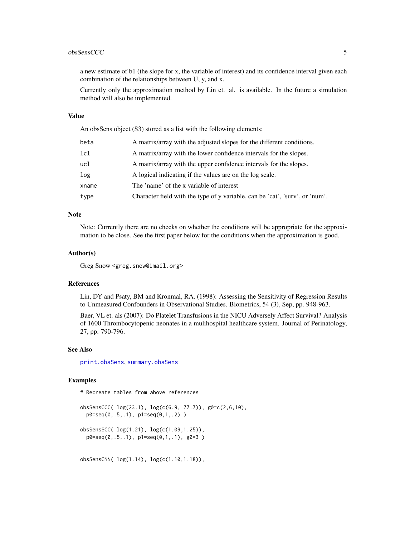#### <span id="page-4-0"></span>obsSensCCC 5

a new estimate of b1 (the slope for x, the variable of interest) and its confidence interval given each combination of the relationships between U, y, and x.

Currently only the approximation method by Lin et. al. is available. In the future a simulation method will also be implemented.

#### Value

An obsSens object (S3) stored as a list with the following elements:

| beta  | A matrix/array with the adjusted slopes for the different conditions.        |
|-------|------------------------------------------------------------------------------|
| 1c1   | A matrix/array with the lower confidence intervals for the slopes.           |
| ucl   | A matrix/array with the upper confidence intervals for the slopes.           |
| log   | A logical indicating if the values are on the log scale.                     |
| xname | The 'name' of the x variable of interest                                     |
| type  | Character field with the type of y variable, can be 'cat', 'surv', or 'num'. |

#### Note

Note: Currently there are no checks on whether the conditions will be appropriate for the approximation to be close. See the first paper below for the conditions when the approximation is good.

#### Author(s)

Greg Snow <greg.snow@imail.org>

#### References

Lin, DY and Psaty, BM and Kronmal, RA. (1998): Assessing the Sensitivity of Regression Results to Unmeasured Confounders in Observational Studies. Biometrics, 54 (3), Sep, pp. 948-963.

Baer, VL et. als (2007): Do Platelet Transfusions in the NICU Adversely Affect Survival? Analysis of 1600 Thrombocytopenic neonates in a mulihospital healthcare system. Journal of Perinatology, 27, pp. 790-796.

#### See Also

[print.obsSens](#page-5-1), [summary.obsSens](#page-5-2)

#### Examples

# Recreate tables from above references

```
obsSensCCC( log(23.1), log(c(6.9, 77.7)), g0=c(2,6,10),
 p0=seq(0,.5,.1), p1=seq(0,1,.2) )
obsSensSCC( log(1.21), log(c(1.09,1.25)),
 p0 = seq(0, .5, .1), p1 = seq(0, 1, .1), g0 = 3)
```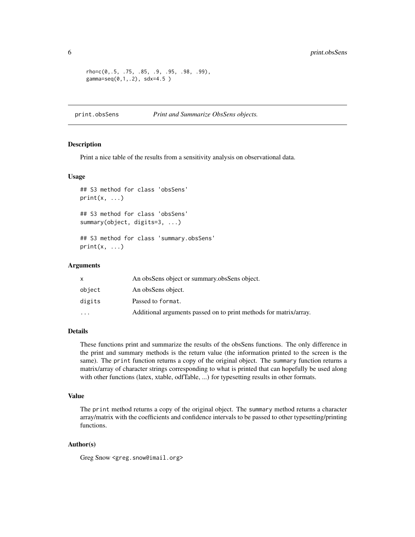```
rho=c(0,.5, .75, .85, .9, .95, .98, .99),
gamma=seq(0,1,.2), sdx=4.5 )
```
<span id="page-5-1"></span>print.obsSens *Print and Summarize ObsSens objects.*

#### <span id="page-5-2"></span>Description

Print a nice table of the results from a sensitivity analysis on observational data.

#### Usage

```
## S3 method for class 'obsSens'
print(x, \ldots)## S3 method for class 'obsSens'
summary(object, digits=3, ...)
## S3 method for class 'summary.obsSens'
print(x, \ldots)
```
#### Arguments

|           | An obsSens object or summary obsSens object.                      |
|-----------|-------------------------------------------------------------------|
| object    | An obsSens object.                                                |
| digits    | Passed to format.                                                 |
| $\ddotsc$ | Additional arguments passed on to print methods for matrix/array. |

#### Details

These functions print and summarize the results of the obsSens functions. The only difference in the print and summary methods is the return value (the information printed to the screen is the same). The print function returns a copy of the original object. The summary function returns a matrix/array of character strings corresponding to what is printed that can hopefully be used along with other functions (latex, xtable, odfTable, ...) for typesetting results in other formats.

#### Value

The print method returns a copy of the original object. The summary method returns a character array/matrix with the coefficients and confidence intervals to be passed to other typesetting/printing functions.

#### Author(s)

Greg Snow <greg.snow@imail.org>

<span id="page-5-0"></span>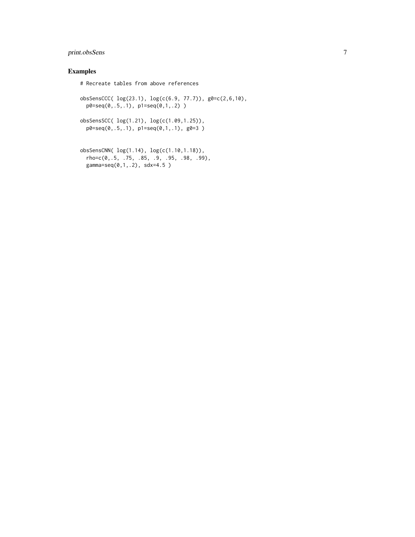#### print.obsSens 7

#### Examples

```
# Recreate tables from above references
obsSensCCC( log(23.1), log(c(6.9, 77.7)), g0=c(2,6,10),
  p0=seq(0,.5,.1), p1=seq(0,1,.2) )
obsSensSCC( log(1.21), log(c(1.09,1.25)),
  p0=seq(0,.5,.1), p1=seq(0,1,.1), g0=3 )
obsSensCNN( log(1.14), log(c(1.10,1.18)),
  rho=c(0,.5, .75, .85, .9, .95, .98, .99),
  gamma=seq(0,1,.2), sdx=4.5 )
```